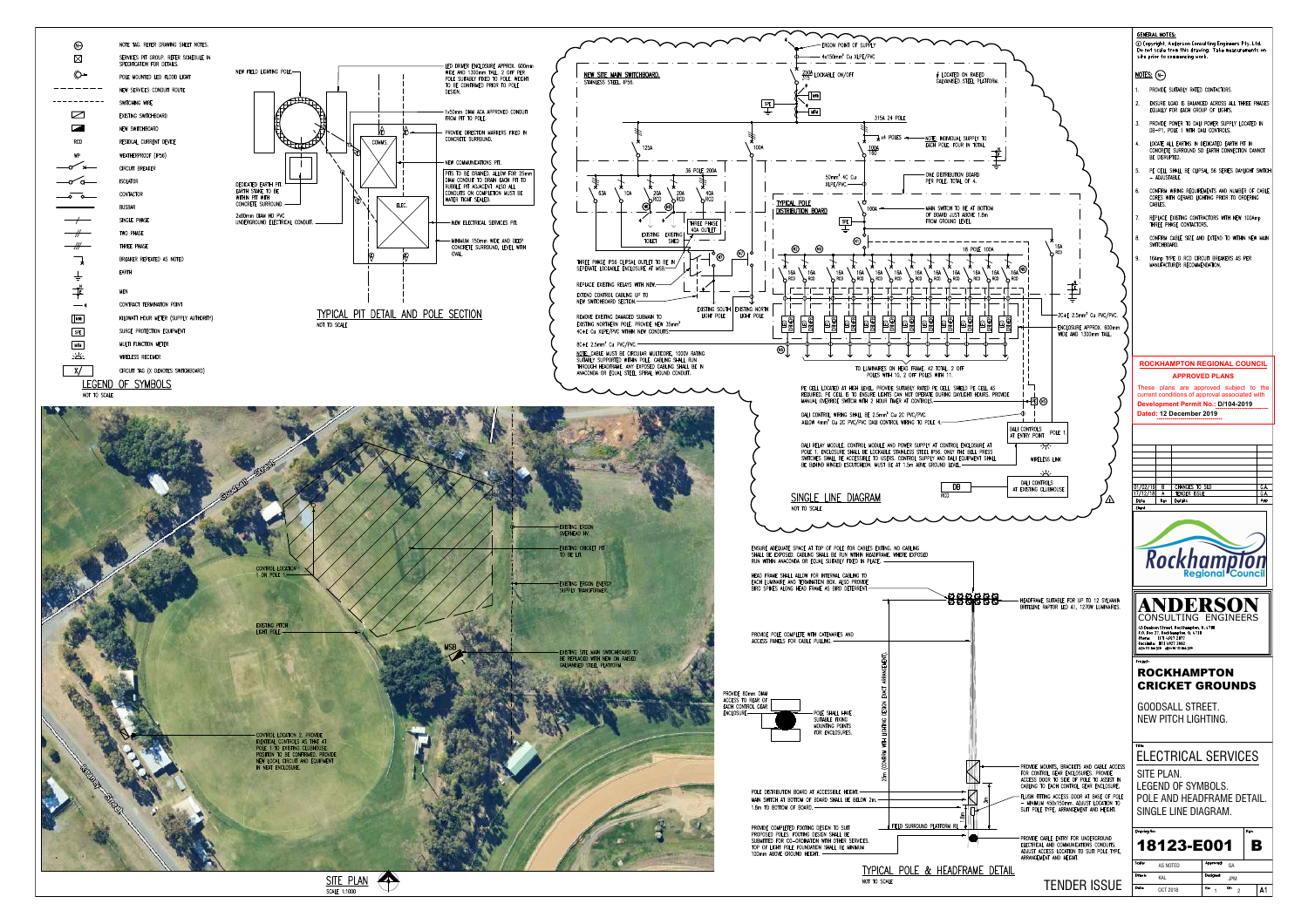